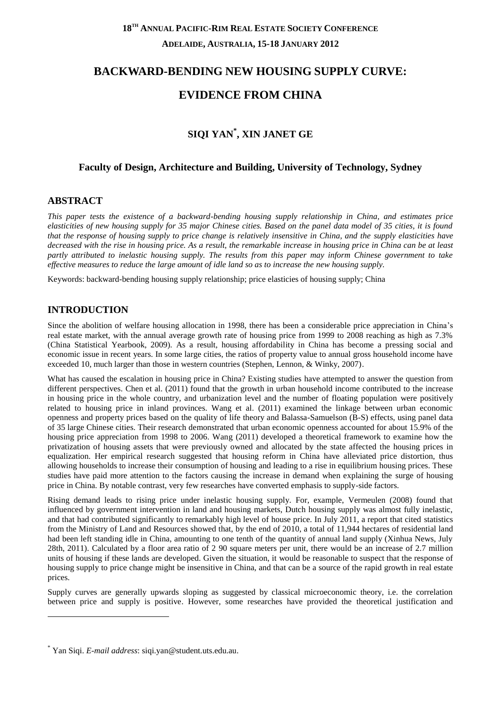# **18TH ANNUAL PACIFIC-RIM REAL ESTATE SOCIETY CONFERENCE ADELAIDE, AUSTRALIA, 15-18 JANUARY 2012**

# **BACKWARD-BENDING NEW HOUSING SUPPLY CURVE:**

# **EVIDENCE FROM CHINA**

# **SIQI YAN\* , XIN JANET GE**

#### **Faculty of Design, Architecture and Building, University of Technology, Sydney**

#### **ABSTRACT**

*This paper tests the existence of a backward-bending housing supply relationship in China, and estimates price elasticities of new housing supply for 35 major Chinese cities. Based on the panel data model of 35 cities, it is found that the response of housing supply to price change is relatively insensitive in China, and the supply elasticities have decreased with the rise in housing price. As a result, the remarkable increase in housing price in China can be at least partly attributed to inelastic housing supply. The results from this paper may inform Chinese government to take effective measures to reduce the large amount of idle land so as to increase the new housing supply.*

Keywords: backward-bending housing supply relationship; price elasticies of housing supply; China

#### **INTRODUCTION**

-

Since the abolition of welfare housing allocation in 1998, there has been a considerable price appreciation in China's real estate market, with the annual average growth rate of housing price from 1999 to 2008 reaching as high as 7.3% (China Statistical Yearbook, 2009). As a result, housing affordability in China has become a pressing social and economic issue in recent years. In some large cities, the ratios of property value to annual gross household income have exceeded 10, much larger than those in western countries (Stephen, Lennon, & Winky, 2007).

What has caused the escalation in housing price in China? Existing studies have attempted to answer the question from different perspectives. Chen et al. (2011) found that the growth in urban household income contributed to the increase in housing price in the whole country, and urbanization level and the number of floating population were positively related to housing price in inland provinces. Wang et al. (2011) examined the linkage between urban economic openness and property prices based on the quality of life theory and Balassa-Samuelson (B-S) effects, using panel data of 35 large Chinese cities. Their research demonstrated that urban economic openness accounted for about 15.9% of the housing price appreciation from 1998 to 2006. Wang (2011) developed a theoretical framework to examine how the privatization of housing assets that were previously owned and allocated by the state affected the housing prices in equalization. Her empirical research suggested that housing reform in China have alleviated price distortion, thus allowing households to increase their consumption of housing and leading to a rise in equilibrium housing prices. These studies have paid more attention to the factors causing the increase in demand when explaining the surge of housing price in China. By notable contrast, very few researches have converted emphasis to supply-side factors.

Rising demand leads to rising price under inelastic housing supply. For, example, Vermeulen (2008) found that influenced by government intervention in land and housing markets, Dutch housing supply was almost fully inelastic, and that had contributed significantly to remarkably high level of house price. In July 2011, a report that cited statistics from the Ministry of Land and Resources showed that, by the end of 2010, a total of 11,944 hectares of residential land had been left standing idle in China, amounting to one tenth of the quantity of annual land supply (Xinhua News, July 28th, 2011). Calculated by a floor area ratio of 2 90 square meters per unit, there would be an increase of 2.7 million units of housing if these lands are developed. Given the situation, it would be reasonable to suspect that the response of housing supply to price change might be insensitive in China, and that can be a source of the rapid growth in real estate prices.

Supply curves are generally upwards sloping as suggested by classical microeconomic theory, i.e. the correlation between price and supply is positive. However, some researches have provided the theoretical justification and

<sup>\*</sup> Yan Siqi. *E-mail address*: siqi.yan@student.uts.edu.au.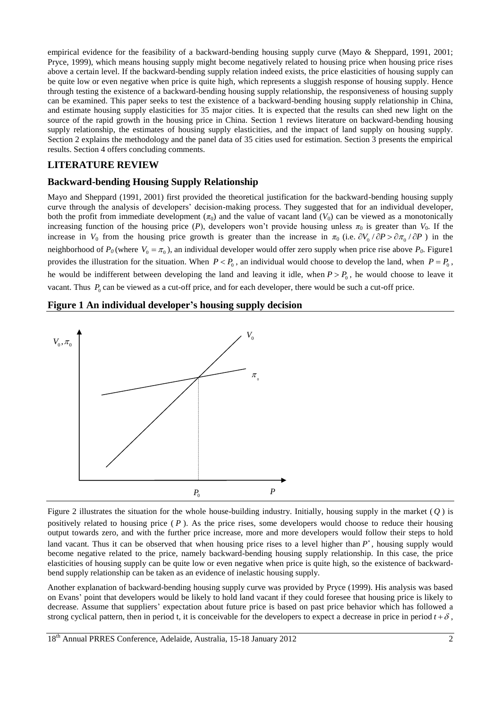empirical evidence for the feasibility of a backward-bending housing supply curve (Mayo & Sheppard, 1991, 2001; Pryce, 1999), which means housing supply might become negatively related to housing price when housing price rises above a certain level. If the backward-bending supply relation indeed exists, the price elasticities of housing supply can be quite low or even negative when price is quite high, which represents a sluggish response of housing supply. Hence through testing the existence of a backward-bending housing supply relationship, the responsiveness of housing supply can be examined. This paper seeks to test the existence of a backward-bending housing supply relationship in China, and estimate housing supply elasticities for 35 major cities. It is expected that the results can shed new light on the source of the rapid growth in the housing price in China. Section 1 reviews literature on backward-bending housing supply relationship, the estimates of housing supply elasticities, and the impact of land supply on housing supply. Section 2 explains the methodology and the panel data of 35 cities used for estimation. Section 3 presents the empirical results. Section 4 offers concluding comments.

#### **LITERATURE REVIEW**

#### **Backward-bending Housing Supply Relationship**

Mayo and Sheppard (1991, 2001) first provided the theoretical justification for the backward-bending housing supply curve through the analysis of developers' decision-making process. They suggested that for an individual developer, both the profit from immediate development  $(\pi_0)$  and the value of vacant land  $(V_0)$  can be viewed as a monotonically increasing function of the housing price (*P*), developers won't provide housing unless  $\pi_0$  is greater than  $V_0$ . If the increase in  $V_0$  from the housing price growth is greater than the increase in  $\pi_0$  (i.e.  $\partial V_0 / \partial P > \partial \pi_0 / \partial P$ ) in the neighborhood of  $P_0$  (where  $V_0 = \pi_0$ ), an individual developer would offer zero supply when price rise above  $P_0$ . Figure1 provides the illustration for the situation. When  $P < P_0$ , an individual would choose to develop the land, when  $P = P_0$ , he would be indifferent between developing the land and leaving it idle, when  $P > P_0$ , he would choose to leave it vacant. Thus  $P_0$  can be viewed as a cut-off price, and for each developer, there would be such a cut-off price.

#### **Figure 1 An individual developer's housing supply decision**



Figure 2 illustrates the situation for the whole house-building industry. Initially, housing supply in the market  $(Q)$  is positively related to housing price  $(P)$ . As the price rises, some developers would choose to reduce their housing output towards zero, and with the further price increase, more and more developers would follow their steps to hold land vacant. Thus it can be observed that when housing price rises to a level higher than  $P^*$ , housing supply would become negative related to the price, namely backward-bending housing supply relationship. In this case, the price elasticities of housing supply can be quite low or even negative when price is quite high, so the existence of backwardbend supply relationship can be taken as an evidence of inelastic housing supply.

Another explanation of backward-bending housing supply curve was provided by Pryce (1999). His analysis was based on Evans' point that developers would be likely to hold land vacant if they could foresee that housing price is likely to decrease. Assume that suppliers' expectation about future price is based on past price behavior which has followed a strong cyclical pattern, then in period t, it is conceivable for the developers to expect a decrease in price in period  $t + \delta$ ,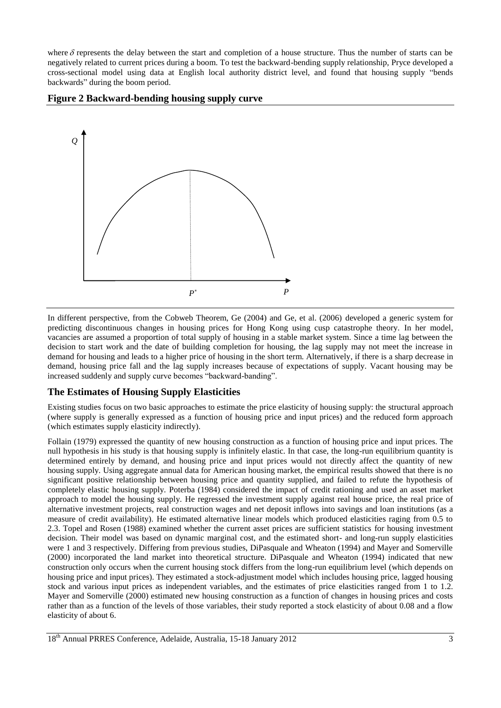where  $\delta$  represents the delay between the start and completion of a house structure. Thus the number of starts can be negatively related to current prices during a boom. To test the backward-bending supply relationship, Pryce developed a cross-sectional model using data at English local authority district level, and found that housing supply "bends backwards" during the boom period.

#### **Figure 2 Backward-bending housing supply curve**



In different perspective, from the Cobweb Theorem, Ge (2004) and Ge, et al. (2006) developed a generic system for predicting discontinuous changes in housing prices for Hong Kong using cusp catastrophe theory. In her model, vacancies are assumed a proportion of total supply of housing in a stable market system. Since a time lag between the decision to start work and the date of building completion for housing, the lag supply may not meet the increase in demand for housing and leads to a higher price of housing in the short term. Alternatively, if there is a sharp decrease in demand, housing price fall and the lag supply increases because of expectations of supply. Vacant housing may be increased suddenly and supply curve becomes "backward-banding".

## **The Estimates of Housing Supply Elasticities**

Existing studies focus on two basic approaches to estimate the price elasticity of housing supply: the structural approach (where supply is generally expressed as a function of housing price and input prices) and the reduced form approach (which estimates supply elasticity indirectly).

Follain (1979) expressed the quantity of new housing construction as a function of housing price and input prices. The null hypothesis in his study is that housing supply is infinitely elastic. In that case, the long-run equilibrium quantity is determined entirely by demand, and housing price and input prices would not directly affect the quantity of new housing supply. Using aggregate annual data for American housing market, the empirical results showed that there is no significant positive relationship between housing price and quantity supplied, and failed to refute the hypothesis of completely elastic housing supply. Poterba (1984) considered the impact of credit rationing and used an asset market approach to model the housing supply. He regressed the investment supply against real house price, the real price of alternative investment projects, real construction wages and net deposit inflows into savings and loan institutions (as a measure of credit availability). He estimated alternative linear models which produced elasticities raging from 0.5 to 2.3. Topel and Rosen (1988) examined whether the current asset prices are sufficient statistics for housing investment decision. Their model was based on dynamic marginal cost, and the estimated short- and long-run supply elasticities were 1 and 3 respectively. Differing from previous studies, DiPasquale and Wheaton (1994) and Mayer and Somerville (2000) incorporated the land market into theoretical structure. DiPasquale and Wheaton (1994) indicated that new construction only occurs when the current housing stock differs from the long-run equilibrium level (which depends on housing price and input prices). They estimated a stock-adjustment model which includes housing price, lagged housing stock and various input prices as independent variables, and the estimates of price elasticities ranged from 1 to 1.2. Mayer and Somerville (2000) estimated new housing construction as a function of changes in housing prices and costs rather than as a function of the levels of those variables, their study reported a stock elasticity of about 0.08 and a flow elasticity of about 6.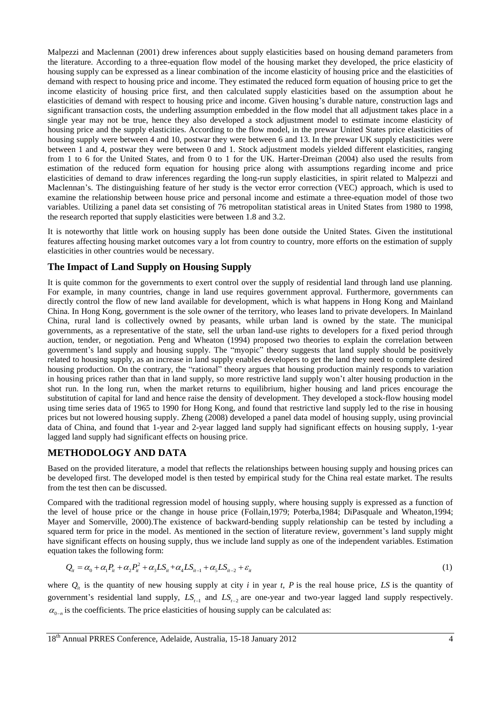Malpezzi and Maclennan (2001) drew inferences about supply elasticities based on housing demand parameters from the literature. According to a three-equation flow model of the housing market they developed, the price elasticity of housing supply can be expressed as a linear combination of the income elasticity of housing price and the elasticities of demand with respect to housing price and income. They estimated the reduced form equation of housing price to get the income elasticity of housing price first, and then calculated supply elasticities based on the assumption about he elasticities of demand with respect to housing price and income. Given housing's durable nature, construction lags and significant transaction costs, the underling assumption embedded in the flow model that all adjustment takes place in a single year may not be true, hence they also developed a stock adjustment model to estimate income elasticity of housing price and the supply elasticities. According to the flow model, in the prewar United States price elasticities of housing supply were between 4 and 10, postwar they were between 6 and 13. In the prewar UK supply elasticities were between 1 and 4, postwar they were between 0 and 1. Stock adjustment models yielded different elasticities, ranging from 1 to 6 for the United States, and from 0 to 1 for the UK. Harter-Dreiman (2004) also used the results from estimation of the reduced form equation for housing price along with assumptions regarding income and price elasticities of demand to draw inferences regarding the long-run supply elasticities, in spirit related to Malpezzi and Maclennan's. The distinguishing feature of her study is the vector error correction (VEC) approach, which is used to examine the relationship between house price and personal income and estimate a three-equation model of those two variables. Utilizing a panel data set consisting of 76 metropolitan statistical areas in United States from 1980 to 1998, the research reported that supply elasticities were between 1.8 and 3.2.

It is noteworthy that little work on housing supply has been done outside the United States. Given the institutional features affecting housing market outcomes vary a lot from country to country, more efforts on the estimation of supply elasticities in other countries would be necessary.

#### **The Impact of Land Supply on Housing Supply**

It is quite common for the governments to exert control over the supply of residential land through land use planning. For example, in many countries, change in land use requires government approval. Furthermore, governments can directly control the flow of new land available for development, which is what happens in Hong Kong and Mainland China. In Hong Kong, government is the sole owner of the territory, who leases land to private developers. In Mainland China, rural land is collectively owned by peasants, while urban land is owned by the state. The municipal governments, as a representative of the state, sell the urban land-use rights to developers for a fixed period through auction, tender, or negotiation. Peng and Wheaton (1994) proposed two theories to explain the correlation between government's land supply and housing supply. The "myopic" theory suggests that land supply should be positively related to housing supply, as an increase in land supply enables developers to get the land they need to complete desired housing production. On the contrary, the "rational" theory argues that housing production mainly responds to variation in housing prices rather than that in land supply, so more restrictive land supply won't alter housing production in the shot run. In the long run, when the market returns to equilibrium, higher housing and land prices encourage the substitution of capital for land and hence raise the density of development. They developed a stock-flow housing model using time series data of 1965 to 1990 for Hong Kong, and found that restrictive land supply led to the rise in housing prices but not lowered housing supply. Zheng (2008) developed a panel data model of housing supply, using provincial data of China, and found that 1-year and 2-year lagged land supply had significant effects on housing supply, 1-year lagged land supply had significant effects on housing price.

#### **METHODOLOGY AND DATA**

Based on the provided literature, a model that reflects the relationships between housing supply and housing prices can be developed first. The developed model is then tested by empirical study for the China real estate market. The results from the test then can be discussed.

Compared with the traditional regression model of housing supply, where housing supply is expressed as a function of the level of house price or the change in house price (Follain,1979; Poterba,1984; DiPasquale and Wheaton,1994; Mayer and Somerville, 2000).The existence of backward-bending supply relationship can be tested by including a squared term for price in the model. As mentioned in the section of literature review, government's land supply might have significant effects on housing supply, thus we include land supply as one of the independent variables. Estimation

equation takes the following form:  
\n
$$
Q_{it} = \alpha_0 + \alpha_1 P_{it} + \alpha_2 P_{it}^2 + \alpha_3 LS_{it} + \alpha_4 LS_{it-1} + \alpha_5 LS_{it-2} + \varepsilon_{it}
$$
\n(1)

where  $Q_i$  is the quantity of new housing supply at city *i* in year *t*, *P* is the real house price, *LS* is the quantity of government's residential land supply,  $LS_{t-1}$  and  $LS_{t-2}$  are one-year and two-year lagged land supply respectively.  $\alpha_{0-n}$  is the coefficients. The price elasticities of housing supply can be calculated as: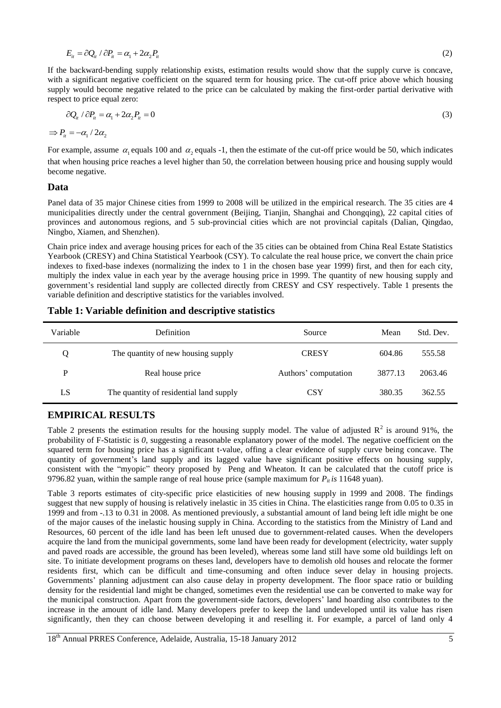$$
E_{it} = \partial Q_{it} / \partial P_{it} = \alpha_1 + 2\alpha_2 P_{it}
$$
\n<sup>(2)</sup>

If the backward-bending supply relationship exists, estimation results would show that the supply curve is concave, with a significant negative coefficient on the squared term for housing price. The cut-off price above which housing supply would become negative related to the price can be calculated by making the first-order partial derivative with respect to price equal zero:

$$
\partial Q_{ii} / \partial P_{ii} = \alpha_1 + 2\alpha_2 P_{ii} = 0 \tag{3}
$$

 $\Rightarrow P_i = -\alpha_1 / 2\alpha_2$ 

For example, assume  $\alpha_1$  equals 100 and  $\alpha_2$  equals -1, then the estimate of the cut-off price would be 50, which indicates that when housing price reaches a level higher than 50, the correlation between housing price and housing supply would become negative.

#### **Data**

Panel data of 35 major Chinese cities from 1999 to 2008 will be utilized in the empirical research. The 35 cities are 4 municipalities directly under the central government (Beijing, Tianjin, Shanghai and Chongqing), 22 capital cities of provinces and autonomous regions, and 5 sub-provincial cities which are not provincial capitals (Dalian, Qingdao, Ningbo, Xiamen, and Shenzhen).

Chain price index and average housing prices for each of the 35 cities can be obtained from China Real Estate Statistics Yearbook (CRESY) and China Statistical Yearbook (CSY). To calculate the real house price, we convert the chain price indexes to fixed-base indexes (normalizing the index to 1 in the chosen base year 1999) first, and then for each city, multiply the index value in each year by the average housing price in 1999. The quantity of new housing supply and government's residential land supply are collected directly from CRESY and CSY respectively. Table 1 presents the variable definition and descriptive statistics for the variables involved.

#### **Table 1: Variable definition and descriptive statistics**

| Variable | <b>Definition</b>                       | Source               | Mean    | Std. Dev. |
|----------|-----------------------------------------|----------------------|---------|-----------|
|          | The quantity of new housing supply      | <b>CRESY</b>         | 604.86  | 555.58    |
| P        | Real house price                        | Authors' computation | 3877.13 | 2063.46   |
| LS       | The quantity of residential land supply | <b>CSY</b>           | 380.35  | 362.55    |

#### **EMPIRICAL RESULTS**

Table 2 presents the estimation results for the housing supply model. The value of adjusted  $\mathbb{R}^2$  is around 91%, the probability of F-Statistic is *0*, suggesting a reasonable explanatory power of the model. The negative coefficient on the squared term for housing price has a significant t-value, offing a clear evidence of supply curve being concave. The quantity of government's land supply and its lagged value have significant positive effects on housing supply, consistent with the "myopic" theory proposed by Peng and Wheaton. It can be calculated that the cutoff price is 9796.82 yuan, within the sample range of real house price (sample maximum for  $P_i$  *is* 11648 yuan).

Table 3 reports estimates of city-specific price elasticities of new housing supply in 1999 and 2008. The findings suggest that new supply of housing is relatively inelastic in 35 cities in China. The elasticities range from 0.05 to 0.35 in 1999 and from -.13 to 0.31 in 2008. As mentioned previously, a substantial amount of land being left idle might be one of the major causes of the inelastic housing supply in China. According to the statistics from the Ministry of Land and Resources, 60 percent of the idle land has been left unused due to government-related causes. When the developers acquire the land from the municipal governments, some land have been ready for development (electricity, water supply and paved roads are accessible, the ground has been leveled), whereas some land still have some old buildings left on site. To initiate development programs on theses land, developers have to demolish old houses and relocate the former residents first, which can be difficult and time-consuming and often induce sever delay in housing projects. Governments' planning adjustment can also cause delay in property development. The floor space ratio or building density for the residential land might be changed, sometimes even the residential use can be converted to make way for the municipal construction. Apart from the government-side factors, developers' land hoarding also contributes to the increase in the amount of idle land. Many developers prefer to keep the land undeveloped until its value has risen significantly, then they can choose between developing it and reselling it. For example, a parcel of land only 4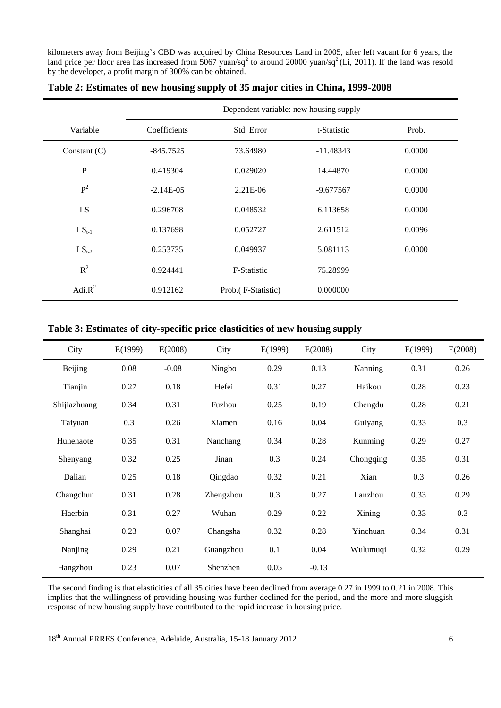kilometers away from Beijing's CBD was acquired by China Resources Land in 2005, after left vacant for 6 years, the land price per floor area has increased from  $5067$  yuan/sq<sup>2</sup> to around 20000 yuan/sq<sup>2</sup> (Li, 2011). If the land was resold by the developer, a profit margin of 300% can be obtained.

|                | Dependent variable: new housing supply |                     |             |        |  |  |  |
|----------------|----------------------------------------|---------------------|-------------|--------|--|--|--|
| Variable       | Coefficients                           | Std. Error          | t-Statistic | Prob.  |  |  |  |
| Constant $(C)$ | $-845.7525$                            | 73.64980            | $-11.48343$ | 0.0000 |  |  |  |
| ${\bf P}$      | 0.419304                               | 0.029020            | 14.44870    | 0.0000 |  |  |  |
| $P^2$          | $-2.14E-05$                            | $2.21E-06$          | $-9.677567$ | 0.0000 |  |  |  |
| LS             | 0.296708                               | 0.048532            | 6.113658    | 0.0000 |  |  |  |
| $LS_{t-1}$     | 0.137698                               | 0.052727            | 2.611512    | 0.0096 |  |  |  |
| $LS_{t-2}$     | 0.253735                               | 0.049937            | 5.081113    | 0.0000 |  |  |  |
| $R^2$          | 0.924441                               | F-Statistic         | 75.28999    |        |  |  |  |
| Adi. $R^2$     | 0.912162                               | Prob. (F-Statistic) | 0.000000    |        |  |  |  |

#### **Table 2: Estimates of new housing supply of 35 major cities in China, 1999-2008**

#### **Table 3: Estimates of city-specific price elasticities of new housing supply**

| City         | E(1999) | E(2008) | City      | E(1999) | E(2008) | City      | E(1999) | E(2008) |
|--------------|---------|---------|-----------|---------|---------|-----------|---------|---------|
| Beijing      | 0.08    | $-0.08$ | Ningbo    | 0.29    | 0.13    | Nanning   | 0.31    | 0.26    |
| Tianjin      | 0.27    | 0.18    | Hefei     | 0.31    | 0.27    | Haikou    | 0.28    | 0.23    |
| Shijiazhuang | 0.34    | 0.31    | Fuzhou    | 0.25    | 0.19    | Chengdu   | 0.28    | 0.21    |
| Taiyuan      | 0.3     | 0.26    | Xiamen    | 0.16    | 0.04    | Guiyang   | 0.33    | 0.3     |
| Huhehaote    | 0.35    | 0.31    | Nanchang  | 0.34    | 0.28    | Kunming   | 0.29    | 0.27    |
| Shenyang     | 0.32    | 0.25    | Jinan     | 0.3     | 0.24    | Chongqing | 0.35    | 0.31    |
| Dalian       | 0.25    | 0.18    | Qingdao   | 0.32    | 0.21    | Xian      | 0.3     | 0.26    |
| Changchun    | 0.31    | 0.28    | Zhengzhou | 0.3     | 0.27    | Lanzhou   | 0.33    | 0.29    |
| Haerbin      | 0.31    | 0.27    | Wuhan     | 0.29    | 0.22    | Xining    | 0.33    | 0.3     |
| Shanghai     | 0.23    | 0.07    | Changsha  | 0.32    | 0.28    | Yinchuan  | 0.34    | 0.31    |
| Nanjing      | 0.29    | 0.21    | Guangzhou | 0.1     | 0.04    | Wulumuqi  | 0.32    | 0.29    |
| Hangzhou     | 0.23    | 0.07    | Shenzhen  | 0.05    | $-0.13$ |           |         |         |

The second finding is that elasticities of all 35 cities have been declined from average 0.27 in 1999 to 0.21 in 2008. This implies that the willingness of providing housing was further declined for the period, and the more and more sluggish response of new housing supply have contributed to the rapid increase in housing price.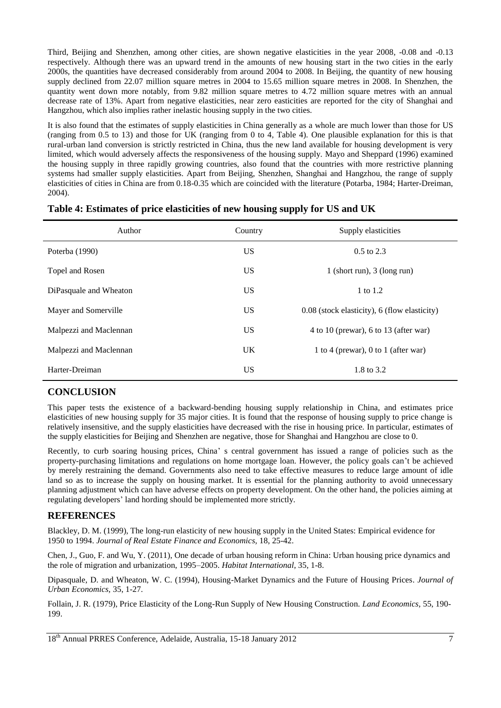Third, Beijing and Shenzhen, among other cities, are shown negative elasticities in the year 2008, -0.08 and -0.13 respectively. Although there was an upward trend in the amounts of new housing start in the two cities in the early 2000s, the quantities have decreased considerably from around 2004 to 2008. In Beijing, the quantity of new housing supply declined from 22.07 million square metres in 2004 to 15.65 million square metres in 2008. In Shenzhen, the quantity went down more notably, from 9.82 million square metres to 4.72 million square metres with an annual decrease rate of 13%. Apart from negative elasticities, near zero easticities are reported for the city of Shanghai and Hangzhou, which also implies rather inelastic housing supply in the two cities.

It is also found that the estimates of supply elasticities in China generally as a whole are much lower than those for US (ranging from 0.5 to 13) and those for UK (ranging from 0 to 4, Table 4). One plausible explanation for this is that rural-urban land conversion is strictly restricted in China, thus the new land available for housing development is very limited, which would adversely affects the responsiveness of the housing supply. Mayo and Sheppard (1996) examined the housing supply in three rapidly growing countries, also found that the countries with more restrictive planning systems had smaller supply elasticities. Apart from Beijing, Shenzhen, Shanghai and Hangzhou, the range of supply elasticities of cities in China are from 0.18-0.35 which are coincided with the literature (Potarba, 1984; Harter-Dreiman, 2004).

| Author                 | Country   | Supply elasticities                          |
|------------------------|-----------|----------------------------------------------|
| Poterba (1990)         | US.       | $0.5$ to 2.3                                 |
| Topel and Rosen        | US.       | 1 (short run), $3$ (long run)                |
| DiPasquale and Wheaton | US.       | 1 to 1.2                                     |
| Mayer and Somerville   | US.       | 0.08 (stock elasticity), 6 (flow elasticity) |
| Malpezzi and Maclennan | <b>US</b> | 4 to 10 (prewar), 6 to 13 (after war)        |
| Malpezzi and Maclennan | <b>UK</b> | 1 to 4 (prewar), 0 to 1 (after war)          |
| Harter-Dreiman         | US.       | 1.8 to 3.2                                   |

#### **Table 4: Estimates of price elasticities of new housing supply for US and UK**

## **CONCLUSION**

This paper tests the existence of a backward-bending housing supply relationship in China, and estimates price elasticities of new housing supply for 35 major cities. It is found that the response of housing supply to price change is relatively insensitive, and the supply elasticities have decreased with the rise in housing price. In particular, estimates of the supply elasticities for Beijing and Shenzhen are negative, those for Shanghai and Hangzhou are close to 0.

Recently, to curb soaring housing prices, China' s central government has issued a range of policies such as the property-purchasing limitations and regulations on home mortgage loan. However, the policy goals can't be achieved by merely restraining the demand. Governments also need to take effective measures to reduce large amount of idle land so as to increase the supply on housing market. It is essential for the planning authority to avoid unnecessary planning adjustment which can have adverse effects on property development. On the other hand, the policies aiming at regulating developers' land hording should be implemented more strictly.

## **REFERENCES**

Blackley, D. M. (1999), The long-run elasticity of new housing supply in the United States: Empirical evidence for 1950 to 1994. *Journal of Real Estate Finance and Economics,* 18, 25-42.

Chen, J., Guo, F. and Wu, Y. (2011), One decade of urban housing reform in China: Urban housing price dynamics and the role of migration and urbanization, 1995–2005. *Habitat International*, 35, 1-8.

Dipasquale, D. and Wheaton, W. C. (1994), Housing-Market Dynamics and the Future of Housing Prices. *Journal of Urban Economics,* 35, 1-27.

Follain, J. R. (1979), Price Elasticity of the Long-Run Supply of New Housing Construction. *Land Economics,* 55, 190- 199.

18<sup>th</sup> Annual PRRES Conference, Adelaide, Australia, 15-18 January 2012 7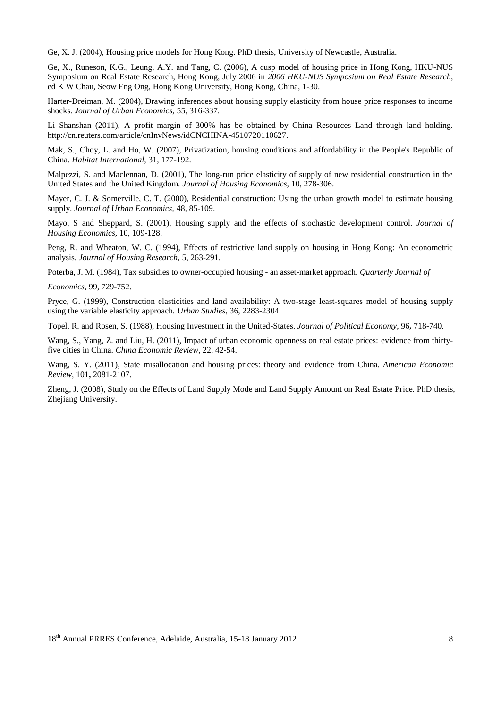Ge, X. J. (2004), Housing price models for Hong Kong. PhD thesis, University of Newcastle, Australia.

Ge, X., Runeson, K.G., Leung, A.Y. and Tang, C. (2006), A cusp model of housing price in Hong Kong, HKU-NUS Symposium on Real Estate Research, Hong Kong, July 2006 in *2006 HKU-NUS Symposium on Real Estate Research*, ed K W Chau, Seow Eng Ong, Hong Kong University, Hong Kong, China, 1-30.

Harter-Dreiman, M. (2004), Drawing inferences about housing supply elasticity from house price responses to income shocks. *Journal of Urban Economics,* 55, 316-337.

Li Shanshan (2011), A profit margin of 300% has be obtained by China Resources Land through land holding. http://cn.reuters.com/article/cnInvNews/idCNCHINA-4510720110627.

Mak, S., Choy, L. and Ho, W. (2007), Privatization, housing conditions and affordability in the People's Republic of China. *Habitat International,* 31, 177-192.

Malpezzi, S. and Maclennan, D. (2001), The long-run price elasticity of supply of new residential construction in the United States and the United Kingdom. *Journal of Housing Economics,* 10, 278-306.

Mayer, C. J. & Somerville, C. T. (2000), Residential construction: Using the urban growth model to estimate housing supply. *Journal of Urban Economics,* 48, 85-109.

Mayo, S and Sheppard, S. (2001), Housing supply and the effects of stochastic development control. *Journal of Housing Economics,* 10, 109-128.

Peng, R. and Wheaton, W. C. (1994), Effects of restrictive land supply on housing in Hong Kong: An econometric analysis. *Journal of Housing Research,* 5, 263-291.

Poterba, J. M. (1984), Tax subsidies to owner-occupied housing - an asset-market approach. *Quarterly Journal of* 

*Economics,* 99, 729-752.

Pryce, G. (1999), Construction elasticities and land availability: A two-stage least-squares model of housing supply using the variable elasticity approach. *Urban Studies,* 36, 2283-2304.

Topel, R. and Rosen, S. (1988), Housing Investment in the United-States. *Journal of Political Economy,* 96**,** 718-740.

Wang, S., Yang, Z. and Liu, H. (2011), Impact of urban economic openness on real estate prices: evidence from thirtyfive cities in China. *China Economic Review,* 22, 42-54.

Wang, S. Y. (2011), State misallocation and housing prices: theory and evidence from China. *American Economic Review,* 101**,** 2081-2107.

Zheng, J. (2008), Study on the Effects of Land Supply Mode and Land Supply Amount on Real Estate Price*.* PhD thesis, Zhejiang University.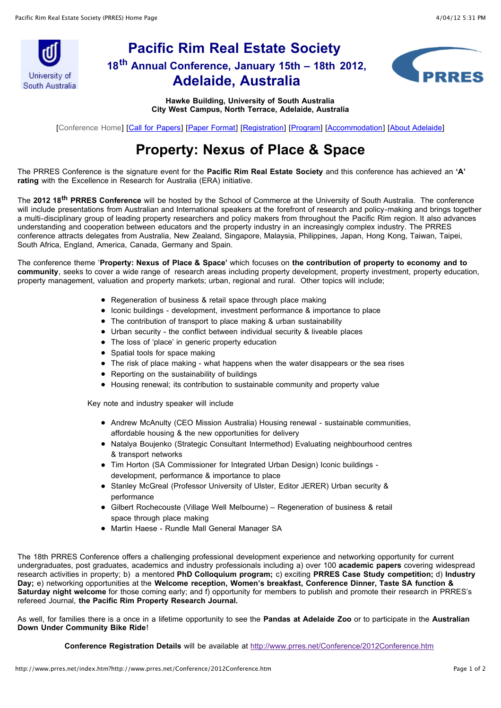

# **Pacific Rim Real Estate Society 18th Annual Conference, January 15th – 18th 2012, Adelaide, Australia**



**Hawke Building, University of South Australia City West Campus, North Terrace, Adelaide, Australia**

[Conference Home] [[Call for Papers](http://www.prres.net/Conference/Conference2012/2012CallForPapers.htm)] [\[Paper Format](http://www.prres.net/Conference/Conference2012/2012PaperFormat.htm)] [\[Registration](http://www.prres.net/Conference/Conference2012/2012registration.htm)] [[Program\]](http://www.prres.net/Conference/Conference2012/2012program.htm) [[Accommodation\]](http://www.prres.net/Conference/Conference2012/2012locations.htm) [[About Adelaide](http://www.prres.net/Conference/Conference2012/2012social.htm)]

# **Property: Nexus of Place & Space**

The PRRES Conference is the signature event for the **Pacific Rim Real Estate Society** and this conference has achieved an **'A' rating** with the Excellence in Research for Australia (ERA) initiative.

The **2012 18th PRRES Conference** will be hosted by the School of Commerce at the University of South Australia. The conference will include presentations from Australian and International speakers at the forefront of research and policy-making and brings together a multi-disciplinary group of leading property researchers and policy makers from throughout the Pacific Rim region. It also advances understanding and cooperation between educators and the property industry in an increasingly complex industry. The PRRES conference attracts delegates from Australia, New Zealand, Singapore, Malaysia, Philippines, Japan, Hong Kong, Taiwan, Taipei, South Africa, England, America, Canada, Germany and Spain.

The conference theme '**Property: Nexus of Place & Space'** which focuses on **the contribution of property to economy and to community**, seeks to cover a wide range of research areas including property development, property investment, property education, property management, valuation and property markets; urban, regional and rural. Other topics will include;

- Regeneration of business & retail space through place making
- Iconic buildings development, investment performance & importance to place
- The contribution of transport to place making & urban sustainability
- Urban security the conflict between individual security & liveable places
- The loss of 'place' in generic property education
- Spatial tools for space making
- The risk of place making what happens when the water disappears or the sea rises
- Reporting on the sustainability of buildings
- Housing renewal; its contribution to sustainable community and property value

Key note and industry speaker will include

- Andrew McAnulty (CEO Mission Australia) Housing renewal sustainable communities, affordable housing & the new opportunities for delivery
- Natalya Boujenko (Strategic Consultant Intermethod) Evaluating neighbourhood centres & transport networks
- Tim Horton (SA Commissioner for Integrated Urban Design) Iconic buildings development, performance & importance to place
- Stanley McGreal (Professor University of Ulster, Editor JERER) Urban security & performance
- Gilbert Rochecouste (Village Well Melbourne) Regeneration of business & retail space through place making
- Martin Haese Rundle Mall General Manager SA

The 18th PRRES Conference offers a challenging professional development experience and networking opportunity for current undergraduates, post graduates, academics and industry professionals including a) over 100 **academic papers** covering widespread research activities in property; b) a mentored **PhD Colloquium program;** c) exciting **PRRES Case Study competition;** d) **Industry Day;** e) networking opportunities at the **Welcome reception, Women's breakfast, Conference Dinner, Taste SA function & Saturday night welcome** for those coming early; and f) opportunity for members to publish and promote their research in PRRES's refereed Journal, **the Pacific Rim Property Research Journal.**

As well, for families there is a once in a lifetime opportunity to see the **Pandas at Adelaide Zoo** or to participate in the **Australian Down Under Community Bike Ride**!

**Conference Registration Details** will be available at <http://www.prres.net/Conference/2012Conference.htm>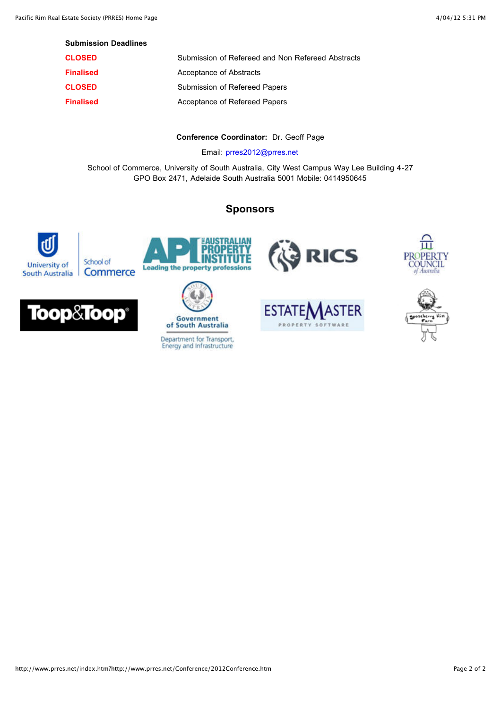| <b>CLOSED</b>    | Submission of Refereed and Non Refereed Abstracts |
|------------------|---------------------------------------------------|
| <b>Finalised</b> | Acceptance of Abstracts                           |
| <b>CLOSED</b>    | Submission of Refereed Papers                     |
| <b>Finalised</b> | Acceptance of Refereed Papers                     |

#### **Conference Coordinator:** Dr. Geoff Page

Email: [prres2012@prres.net](mailto:prres2012@prres.net?subject=2012%20PRRES%20Conference:)

School of Commerce, University of South Australia, City West Campus Way Lee Building 4-27 GPO Box 2471, Adelaide South Australia 5001 Mobile: 0414950645

# **Sponsors**

WSTRALIAN<br><mark>Roperty</mark><br>Nstitute









Department for Transport,<br>Energy and Infrastructure







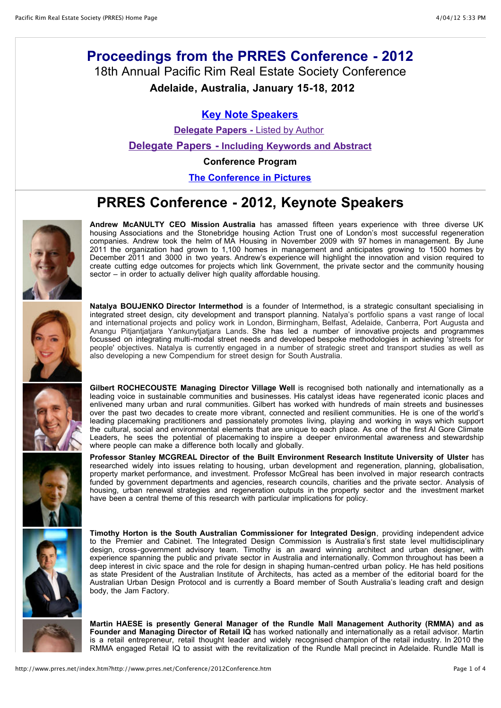# **Proceedings from the PRRES Conference - 2012** 18th Annual Pacific Rim Real Estate Society Conference

**Adelaide, Australia, January 15-18, 2012**

### **[Key Note Speakers](http://www.prres.net/Proceedings/2012proceedings.asp#Keynotes)**

**[Delegate Papers -](http://www.prres.net/Proceedings/2012proceedings.asp#authors) Listed by Author** 

**[Delegate Papers - Including Keywords and Abstract](http://www.prres.net/Proceedings/2012abstracts.asp)**

**Conference Program**

**[The Conference in Pictures](https://picasaweb.google.com/102305726326138917535/PacificRimRealEstateSocietyConference2012?authkey=Gv1sRgCNi6_Y6wpoe8Eg)**

# **PRRES Conference - 2012, Keynote Speakers**

**Andrew McANULTY CEO Mission Australia** has amassed fifteen years experience with three diverse UK housing Associations and the Stonebridge housing Action Trust one of London's most successful regeneration companies. Andrew took the helm of MA Housing in November 2009 with 97 homes in management. By June 2011 the organization had grown to 1,100 homes in management and anticipates growing to 1500 homes by December 2011 and 3000 in two years. Andrew's experience will highlight the innovation and vision required to create cutting edge outcomes for projects which link Government, the private sector and the community housing sector – in order to actually deliver high quality affordable housing.



**Natalya BOUJENKO Director Intermethod** is a founder of Intermethod, is a strategic consultant specialising in integrated street design, city development and transport planning. Natalya's portfolio spans a vast range of local and international projects and policy work in London, Birmingham, Belfast, Adelaide, Canberra, Port Augusta and Anangu Pitjantjatjara Yankunytjatjara Lands. She has led a number of innovative projects and programmes focussed on integrating multi-modal street needs and developed bespoke methodologies in achieving 'streets for people' objectives. Natalya is currently engaged in a number of strategic street and transport studies as well as also developing a new Compendium for street design for South Australia.



**Gilbert ROCHECOUSTE Managing Director Village Well** is recognised both nationally and internationally as a leading voice in sustainable communities and businesses. His catalyst ideas have regenerated iconic places and enlivened many urban and rural communities. Gilbert has worked with hundreds of main streets and businesses over the past two decades to create more vibrant, connected and resilient communities. He is one of the world's leading placemaking practitioners and passionately promotes living, playing and working in ways which support the cultural, social and environmental elements that are unique to each place. As one of the first Al Gore Climate Leaders, he sees the potential of placemaking to inspire a deeper environmental awareness and stewardship where people can make a difference both locally and globally.

**Professor Stanley MCGREAL Director of the Built Environment Research Institute University of Ulster** has researched widely into issues relating to housing, urban development and regeneration, planning, globalisation, property market performance, and investment. Professor McGreal has been involved in major research contracts funded by government departments and agencies, research councils, charities and the private sector. Analysis of housing, urban renewal strategies and regeneration outputs in the property sector and the investment market have been a central theme of this research with particular implications for policy.



**Timothy Horton is the South Australian Commissioner for Integrated Design**, providing independent advice to the Premier and Cabinet. The Integrated Design Commission is Australia's first state level multidisciplinary design, cross-government advisory team. Timothy is an award winning architect and urban designer, with experience spanning the public and private sector in Australia and internationally. Common throughout has been a deep interest in civic space and the role for design in shaping human-centred urban policy. He has held positions as state President of the Australian Institute of Architects, has acted as a member of the editorial board for the Australian Urban Design Protocol and is currently a Board member of South Australia's leading craft and design body, the Jam Factory.

**Martin HAESE is presently General Manager of the Rundle Mall Management Authority (RMMA) and as Founder and Managing Director of Retail IQ** has worked nationally and internationally as a retail advisor. Martin is a retail entrepreneur, retail thought leader and widely recognised champion of the retail industry. In 2010 the RMMA engaged Retail IQ to assist with the revitalization of the Rundle Mall precinct in Adelaide. Rundle Mall is

http://www.prres.net/index.htm?http://www.prres.net/Conference/2012Conference.htm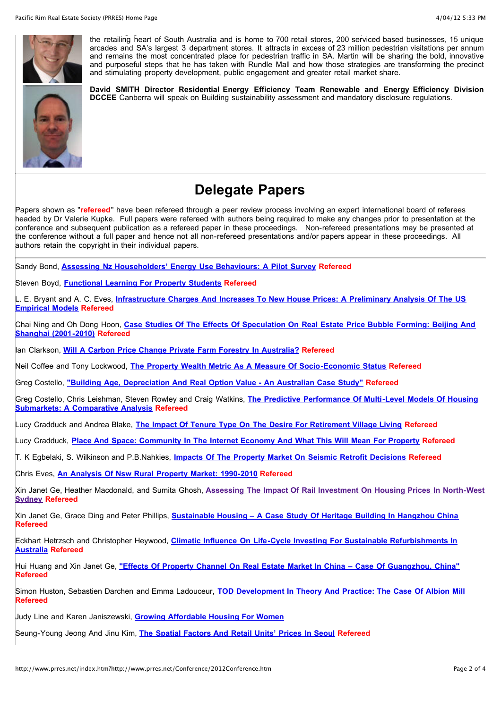

the retailing heart of South Australia and is home to 700 retail stores, 200 serviced based businesses, 15 unique arcades and SA's largest 3 department stores. It attracts in excess of 23 million pedestrian visitations per annum and remains the most concentrated place for pedestrian traffic in SA. Martin will be sharing the bold, innovative and purposeful steps that he has taken with Rundle Mall and how those strategies are transforming the precinct and stimulating property development, public engagement and greater retail market share.

**David SMITH Director Residential Energy Efficiency Team Renewable and Energy Efficiency Division DCCEE** Canberra will speak on Building sustainability assessment and mandatory disclosure regulations.



Papers shown as "**refereed**" have been refereed through a peer review process involving an expert international board of referees headed by Dr Valerie Kupke. Full papers were refereed with authors being required to make any changes prior to presentation at the conference and subsequent publication as a refereed paper in these proceedings. Non-refereed presentations may be presented at the conference without a full paper and hence not all non-refereed presentations and/or papers appear in these proceedings. All authors retain the copyright in their individual papers.

Sandy Bond, **[Assessing Nz Householders' Energy Use Behaviours: A Pilot Survey](http://www.prres.net/papers/Bond_Assessing_NZ_household_Engery_Use_Behaviour.pdf) Refereed**

Steven Boyd, **[Functional Learning For Property Students](http://www.prres.net/papers/Boyd_Functional_Learning_Property_Students.pdf) Refereed**

L. E. Bryant and A. C. Eves, **[Infrastructure Charges And Increases To New House Prices: A Preliminary Analysis Of The US](http://www.prres.net/papers/Bryant_Infrastructure_Changes_and_Increases_to_New_House_prices.pdf) Empirical Models Refereed**

Chai Ning and Oh Dong Hoon, **[Case Studies Of The Effects Of Speculation On Real Estate Price Bubble Forming: Beijing And](http://www.prres.net/papers/Chai_Ning_Case_Studies_of_the_Effect.pdf) Shanghai (2001-2010) Refereed**

Ian Clarkson, **[Will A Carbon Price Change Private Farm Forestry In Australia?](http://www.prres.net/papers/Clarkson_Will_a_Carbon_Price.pdf) Refereed**

Neil Coffee and Tony Lockwood, **[The Property Wealth Metric As A Measure Of Socio-Economic Status](http://www.prres.net/papers/Coffee_Property_Wealth_metric_for_SE_Status.pdf) Refereed**

Greg Costello, **["Building Age, Depreciation And Real Option Value - An Australian Case Study"](http://www.prres.net/papers/Costello_Building_Age_Depreciation_real_option_value.pdf) Refereed**

[Greg Costello, Chris Leishman, Steven Rowley and Craig Watkins,](http://www.prres.net/papers/Costello_Predictive_Performance_Multi-Level_Models_Housing_Submarkets.pdf) **The Predictive Performance Of Multi-Level Models Of Housing Submarkets: A Comparative Analysis Refereed**

Lucy Cradduck and Andrea Blake, **[The Impact Of Tenure Type On The Desire For Retirement Village Living](http://www.prres.net/papers/Cradduck_Impact_on_Tenure_Type.pdf) Refereed**

Lucy Cradduck, **[Place And Space: Community In The Internet Economy And What This Will Mean For Property](http://www.prres.net/papers/Cradduck_Place_and_Space.pdf) Refereed**

T. K Egbelaki, S. Wilkinson and P.B.Nahkies, **[Impacts Of The Property Market On Seismic Retrofit Decisions](http://www.prres.net/papers/Egbelaki_Impacts_of_the_Property_Market.pdf) Refereed**

Chris Eves, **[An Analysis Of Nsw Rural Property Market: 1990-2010](http://www.prres.net/papers/Eves_Analysis_NSW_Rural_Property.pdf) Refereed**

Xin Janet Ge, Heather Macdonald, and Sumita Ghosh, **[Assessing The Impact Of Rail Investment On Housing Prices In North-West](http://www.prres.net/papers/Ge_Assessing_the_Impact.pdf) Sydney Refereed**

Xin Janet Ge, Grace Ding and Peter Phillips, **[Sustainable Housing – A Case Study Of Heritage Building In Hangzhou China](http://www.prres.net/papers/Ge_Sustainable_Housing.pdf) Refereed**

Eckhart Hetrzsch and Christopher Heywood, **[Climatic Influence On Life-Cycle Investing For Sustainable Refurbishments In](http://www.prres.net/papers/Hertzsch_Climatic_Influence_on_Life-cycle_Investing.pdf) Australia Refereed**

Hui Huang and Xin Janet Ge, **["Effects Of Property Channel On Real Estate Market In China – Case Of Guangzhou, China"](http://www.prres.net/papers/Huang_Effects_of_Property_Channel.pdf) Refereed**

Simon Huston, Sebastien Darchen and Emma Ladouceur, **[TOD Development In Theory And Practice: The Case Of Albion Mill](http://www.prres.net/papers/Huston_TOD_Development_Theory.pdf) Refereed**

Judy Line and Karen Janiszewski, **[Growing Affordable Housing For Women](http://www.prres.net/papers/Janiszewski_and_Line_Growing_Affordable_Housing_for_Women.pdf)**

Seung-Young Jeong And Jinu Kim, **[The Spatial Factors And Retail Units' Prices In Seoul](http://www.prres.net/papers/Jeong_Spatial_Factors_Retail_Unit_Prices_Seoul.pdf) Refereed**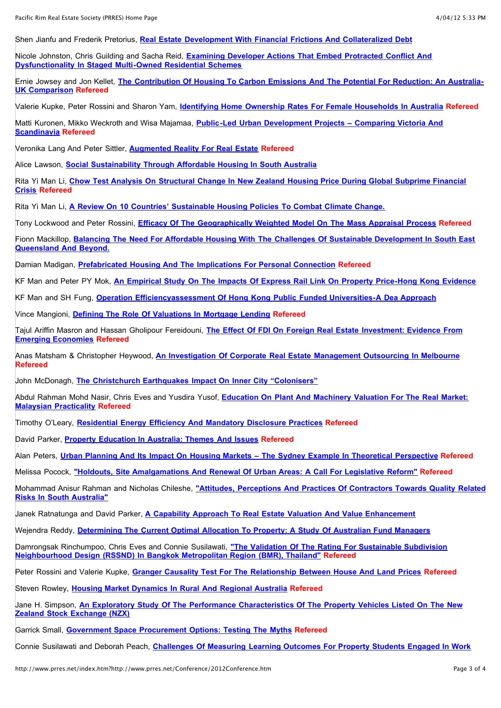Shen Jianfu and Frederik Pretorius, **[Real Estate Development With Financial Frictions And Collateralized Debt](http://www.prres.net/papers/Jianfu_Real_Estate_Development_with_Debt.pdf)**

Nicole Johnston, Chris Guilding and Sacha Reid, **[Examining Developer Actions That Embed Protracted Conflict And](http://www.prres.net/papers/Johnston_Examining_developer_actions_conflict.pdf) Dysfunctionality In Staged Multi-Owned Residential Schemes**

Ernie Jowsey and Jon Kellet, **[The Contribution Of Housing To Carbon Emissions And The Potential For Reduction: An Australia-](http://www.prres.net/papers/Jowsey_The_Contribution_of_Housing.pdf)UK Comparison Refereed**

Valerie Kupke, Peter Rossini and Sharon Yam, **[Identifying Home Ownership Rates For Female Households In Australia](http://www.prres.net/papers/Kupke_Identifying_home_ownership_rates_Female_households_Australia%20.pdf) Refereed**

Matti Kuronen, Mikko Weckroth and Wisa Majamaa, **[Public-Led Urban Development Projects – Comparing Victoria And](http://www.prres.net/papers/Kuronen_Public-Led_Urban_development_Projects.pdf) Scandinavia Refereed**

Veronika Lang And Peter Sittler, **[Augmented Reality For Real Estate](http://www.prres.net/papers/Lang_Augmented_Reality_for_Real_Estate_final.pdf) Refereed**

Alice Lawson, **[Social Sustainability Through Affordable Housing In South Australia](http://www.prres.net/papers/Lawson_Social_Sustainability_affordable_Housing_SA.pdf)**

Rita Yi Man Li, **[Chow Test Analysis On Structural Change In New Zealand Housing Price During Global Subprime Financial](http://www.prres.net/papers/Li_Chow_Test_Analysis_on_Structural_Change.pdf) Crisis Refereed**

Rita Yi Man Li, **[A Review On 10 Countries' Sustainable Housing Policies To Combat Climate Change.](http://www.prres.net/papers/Li_Review_10_Countries_Sustainable_%20Housing_Policies_Comba_Climate_Change.pdf)**

Tony Lockwood and Peter Rossini, **[Efficacy Of The Geographically Weighted Model On The Mass Appraisal Process](http://www.prres.net/papers/Lockwood_Efficacy_Geographically_weighted_regression_in_Mass_apprails.pdf) Refereed**

Fionn Mackillop, **[Balancing The Need For Affordable Housing With The Challenges Of Sustainable Development In South East](http://www.prres.net/papers/MacKillop_Balancing_Need_affordable_housing_challenges_sustainable_development.pdf) Queensland And Beyond.**

Damian Madigan, **[Prefabricated Housing And The Implications For Personal Connection](http://www.prres.net/papers/Madigan_Prefabricated_housing_implications_for_personal_connection.pdf) Refereed**

KF Man and Peter PY Mok, **[An Empirical Study On The Impacts Of Express Rail Link On Property Price-Hong Kong Evidence](http://www.prres.net/papers/Man_Effect_express_rail_on_property_prices.pdf)**

KF Man and SH Fung, **[Operation Efficiencyassessment Of Hong Kong Public Funded Universities-A Dea Approach](http://www.prres.net/papers/Man_operation_efficiency_HK_Uni.pdf)**

Vince Mangioni, **[Defining The Role Of Valuations In Mortgage Lending](http://www.prres.net/papers/Mangioni_Defining_the_role_of_Valuations.pdf) Refereed**

Tajul Ariffin Masron and Hassan Gholipour Fereidouni, **[The Effect Of FDI On Foreign Real Estate Investment: Evidence From](http://www.prres.net/papers/Masron_Effect_of_FDI.pdf) Emerging Economies Refereed**

Anas Matsham & Christopher Heywood, **[An Investigation Of Corporate Real Estate Management Outsourcing In Melbourne](http://www.prres.net/papers/Matsham_Investigation_Corporate_Real_Estate.pdf) Refereed**

John McDonagh, **[The Christchurch Earthquakes Impact On Inner City "Colonisers"](http://www.prres.net/papers/McDonagh_Christchurch_Earthquake_Impact_inner_city_colonisers.pdf)**

Abdul Rahman Mohd Nasir, Chris Eves and Yusdira Yusof, **[Education On Plant And Machinery Valuation For The Real Market:](http://www.prres.net/papers/Nasir_Education_on_Plant_and_Machinery.pdf) Malaysian Practicality Refereed**

Timothy O'Leary, **[Residential Energy Efficiency And Mandatory Disclosure Practices](http://www.prres.net/papers/OLeary_Residential_Energy_Efficiency_Mandatory_Disclosure_Practice.pdf) Refereed**

David Parker, **[Property Education In Australia: Themes And Issues](http://www.prres.net/papers/Parker_Property_Education_Australia_Themes_Issues.pdf) Refereed**

Alan Peters, **[Urban Planning And Its Impact On Housing Markets – The Sydney Example In Theoretical Perspective](http://www.prres.net/papers/Peters_Urban_Planning.pdf) Refereed**

Melissa Pocock, **["Holdouts, Site Amalgamations And Renewal Of Urban Areas: A Call For Legislative Reform"](http://www.prres.net/papers/Pocock_Holdouts_Site_Amalgamations.pdf) Refereed**

Mohammad Anisur Rahman and Nicholas Chileshe, **["Attitudes, Perceptions And Practices Of Contractors Towards Quality Related](http://www.prres.net/papers/Rahman_Chileshe_Attitudes_Perceptions_Practices_Of_Contractorsr.pdf) Risks In South Australia"**

Janek Ratnatunga and David Parker, **[A Capability Approach To Real Estate Valuation And Value Enhancement](http://www.prres.net/papers/Ratnatunga_Capability_Approach_to_Real_Estate_Valuation.pdf)**

Wejendra Reddy, **[Determining The Current Optimal Allocation To Property: A Study Of Australian Fund Managers](http://www.prres.net/papers/Reddy_Current_optimal_allocation_property_Australia.pdf)**

Damrongsak Rinchumpoo, Chris Eves and Connie Susilawati, **"The Validation Of The Rating For Sustainable Subdivision [Neighbourhood Design \(RSSND\) In Bangkok Metropolitan Region \(BMR\), Thailand"](http://www.prres.net/papers/Rinchumpoo_The_Valuation_of_the%20_Rating.pdf) Refereed**

Peter Rossini and Valerie Kupke, **[Granger Causality Test For The Relationship Between House And Land Prices](http://www.prres.net/papers/Rossini_Granger_Causality_test_relationship_House_and_land_prices.pdf) Refereed**

Steven Rowley, **[Housing Market Dynamics In Rural And Regional Australia](http://www.prres.net/papers/Rowley_Housing_Market_Dynamics.pdf) Refereed**

Jane H. Simpson, **[An Exploratory Study Of The Performance Characteristics Of The Property Vehicles Listed On The New](http://www.prres.net/papers/Simpson_Exploratory_Study_Performance_Characteristics_%20Property_Vehicles_Listed_NZX.pdf) Zealand Stock Exchange (NZX)**

Garrick Small, **[Government Space Procurement Options: Testing The Myths](http://www.prres.net/papers/Small_Government_Space_Procurement.pdf) Refereed**

Connie Susilawati and Deborah Peach, **[Challenges Of Measuring Learning Outcomes For Property Students Engaged In Work](http://www.prres.net/papers/Susilawati%20_Measuring_learnin_outcomes%20_work_integrated_learning%20.pdf)**